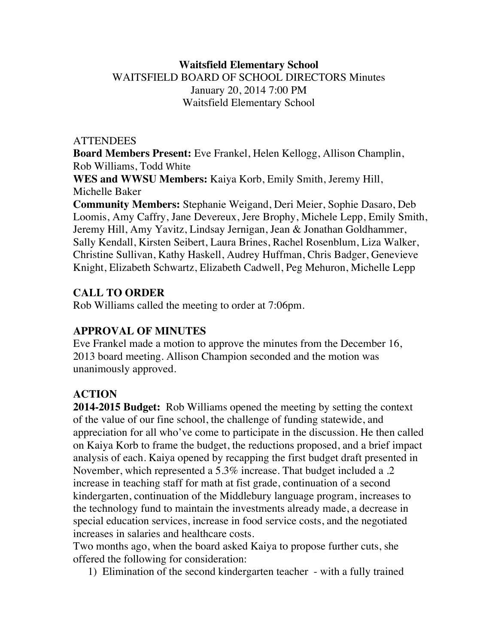## **Waitsfield Elementary School** WAITSFIELD BOARD OF SCHOOL DIRECTORS Minutes January 20, 2014 7:00 PM Waitsfield Elementary School

#### **ATTENDEES**

**Board Members Present:** Eve Frankel, Helen Kellogg, Allison Champlin, Rob Williams, Todd White

**WES and WWSU Members:** Kaiya Korb, Emily Smith, Jeremy Hill, Michelle Baker

**Community Members:** Stephanie Weigand, Deri Meier, Sophie Dasaro, Deb Loomis, Amy Caffry, Jane Devereux, Jere Brophy, Michele Lepp, Emily Smith, Jeremy Hill, Amy Yavitz, Lindsay Jernigan, Jean & Jonathan Goldhammer, Sally Kendall, Kirsten Seibert, Laura Brines, Rachel Rosenblum, Liza Walker, Christine Sullivan, Kathy Haskell, Audrey Huffman, Chris Badger, Genevieve Knight, Elizabeth Schwartz, Elizabeth Cadwell, Peg Mehuron, Michelle Lepp

## **CALL TO ORDER**

Rob Williams called the meeting to order at 7:06pm.

### **APPROVAL OF MINUTES**

Eve Frankel made a motion to approve the minutes from the December 16, 2013 board meeting. Allison Champion seconded and the motion was unanimously approved.

# **ACTION**

**2014-2015 Budget:** Rob Williams opened the meeting by setting the context of the value of our fine school, the challenge of funding statewide, and appreciation for all who've come to participate in the discussion. He then called on Kaiya Korb to frame the budget, the reductions proposed, and a brief impact analysis of each. Kaiya opened by recapping the first budget draft presented in November, which represented a 5.3% increase. That budget included a .2 increase in teaching staff for math at fist grade, continuation of a second kindergarten, continuation of the Middlebury language program, increases to the technology fund to maintain the investments already made, a decrease in special education services, increase in food service costs, and the negotiated increases in salaries and healthcare costs.

Two months ago, when the board asked Kaiya to propose further cuts, she offered the following for consideration:

1) Elimination of the second kindergarten teacher - with a fully trained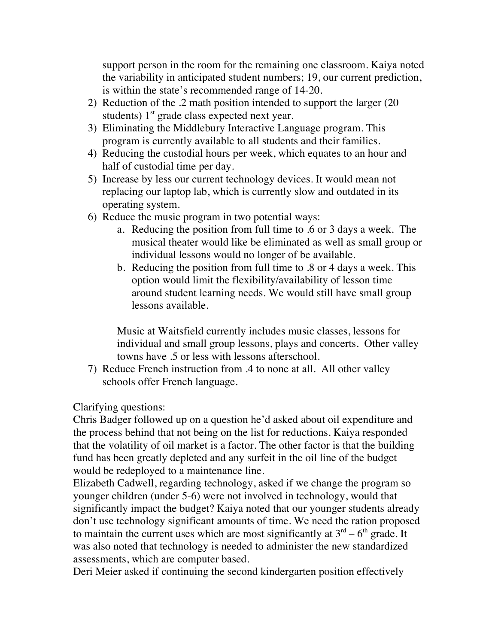support person in the room for the remaining one classroom. Kaiya noted the variability in anticipated student numbers; 19, our current prediction, is within the state's recommended range of 14-20.

- 2) Reduction of the .2 math position intended to support the larger (20 students)  $1<sup>st</sup>$  grade class expected next year.
- 3) Eliminating the Middlebury Interactive Language program. This program is currently available to all students and their families.
- 4) Reducing the custodial hours per week, which equates to an hour and half of custodial time per day.
- 5) Increase by less our current technology devices. It would mean not replacing our laptop lab, which is currently slow and outdated in its operating system.
- 6) Reduce the music program in two potential ways:
	- a. Reducing the position from full time to .6 or 3 days a week. The musical theater would like be eliminated as well as small group or individual lessons would no longer of be available.
	- b. Reducing the position from full time to .8 or 4 days a week. This option would limit the flexibility/availability of lesson time around student learning needs. We would still have small group lessons available.

Music at Waitsfield currently includes music classes, lessons for individual and small group lessons, plays and concerts. Other valley towns have .5 or less with lessons afterschool.

7) Reduce French instruction from .4 to none at all. All other valley schools offer French language.

Clarifying questions:

Chris Badger followed up on a question he'd asked about oil expenditure and the process behind that not being on the list for reductions. Kaiya responded that the volatility of oil market is a factor. The other factor is that the building fund has been greatly depleted and any surfeit in the oil line of the budget would be redeployed to a maintenance line.

Elizabeth Cadwell, regarding technology, asked if we change the program so younger children (under 5-6) were not involved in technology, would that significantly impact the budget? Kaiya noted that our younger students already don't use technology significant amounts of time. We need the ration proposed to maintain the current uses which are most significantly at  $3<sup>rd</sup> - 6<sup>th</sup>$  grade. It was also noted that technology is needed to administer the new standardized assessments, which are computer based.

Deri Meier asked if continuing the second kindergarten position effectively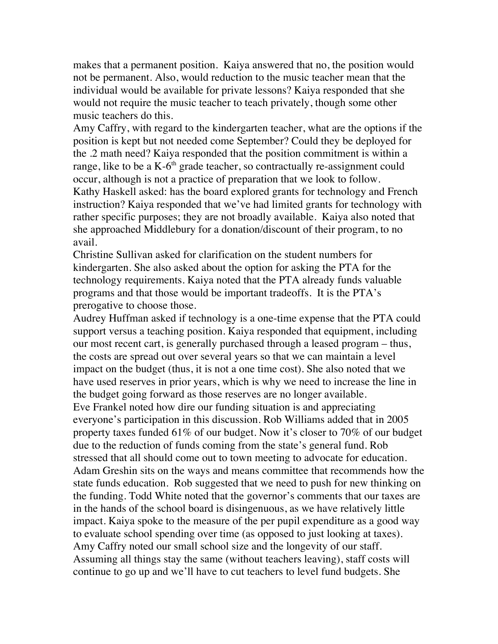makes that a permanent position. Kaiya answered that no, the position would not be permanent. Also, would reduction to the music teacher mean that the individual would be available for private lessons? Kaiya responded that she would not require the music teacher to teach privately, though some other music teachers do this.

Amy Caffry, with regard to the kindergarten teacher, what are the options if the position is kept but not needed come September? Could they be deployed for the .2 math need? Kaiya responded that the position commitment is within a range, like to be a  $K-6<sup>th</sup>$  grade teacher, so contractually re-assignment could occur, although is not a practice of preparation that we look to follow. Kathy Haskell asked: has the board explored grants for technology and French instruction? Kaiya responded that we've had limited grants for technology with rather specific purposes; they are not broadly available. Kaiya also noted that she approached Middlebury for a donation/discount of their program, to no avail.

Christine Sullivan asked for clarification on the student numbers for kindergarten. She also asked about the option for asking the PTA for the technology requirements. Kaiya noted that the PTA already funds valuable programs and that those would be important tradeoffs. It is the PTA's prerogative to choose those.

Audrey Huffman asked if technology is a one-time expense that the PTA could support versus a teaching position. Kaiya responded that equipment, including our most recent cart, is generally purchased through a leased program – thus, the costs are spread out over several years so that we can maintain a level impact on the budget (thus, it is not a one time cost). She also noted that we have used reserves in prior years, which is why we need to increase the line in the budget going forward as those reserves are no longer available. Eve Frankel noted how dire our funding situation is and appreciating everyone's participation in this discussion. Rob Williams added that in 2005 property taxes funded 61% of our budget. Now it's closer to 70% of our budget due to the reduction of funds coming from the state's general fund. Rob stressed that all should come out to town meeting to advocate for education. Adam Greshin sits on the ways and means committee that recommends how the state funds education. Rob suggested that we need to push for new thinking on the funding. Todd White noted that the governor's comments that our taxes are in the hands of the school board is disingenuous, as we have relatively little impact. Kaiya spoke to the measure of the per pupil expenditure as a good way to evaluate school spending over time (as opposed to just looking at taxes). Amy Caffry noted our small school size and the longevity of our staff. Assuming all things stay the same (without teachers leaving), staff costs will continue to go up and we'll have to cut teachers to level fund budgets. She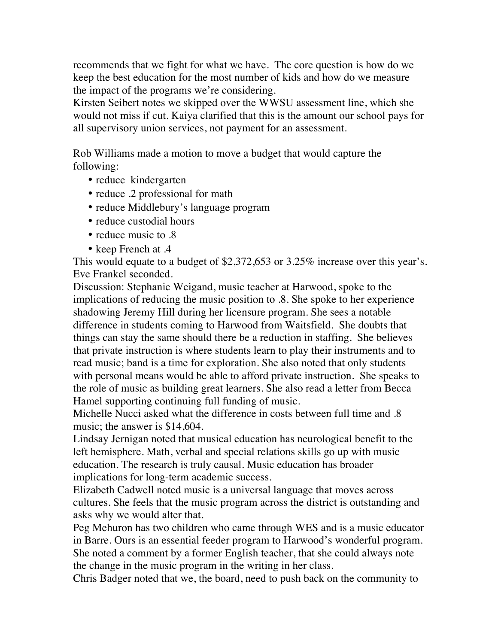recommends that we fight for what we have. The core question is how do we keep the best education for the most number of kids and how do we measure the impact of the programs we're considering.

Kirsten Seibert notes we skipped over the WWSU assessment line, which she would not miss if cut. Kaiya clarified that this is the amount our school pays for all supervisory union services, not payment for an assessment.

Rob Williams made a motion to move a budget that would capture the following:

- reduce kindergarten
- reduce .2 professional for math
- reduce Middlebury's language program
- reduce custodial hours
- reduce music to  $.8$
- keep French at .4

This would equate to a budget of \$2,372,653 or 3.25% increase over this year's. Eve Frankel seconded.

Discussion: Stephanie Weigand, music teacher at Harwood, spoke to the implications of reducing the music position to .8. She spoke to her experience shadowing Jeremy Hill during her licensure program. She sees a notable difference in students coming to Harwood from Waitsfield. She doubts that things can stay the same should there be a reduction in staffing. She believes that private instruction is where students learn to play their instruments and to read music; band is a time for exploration. She also noted that only students with personal means would be able to afford private instruction. She speaks to the role of music as building great learners. She also read a letter from Becca Hamel supporting continuing full funding of music.

Michelle Nucci asked what the difference in costs between full time and .8 music; the answer is \$14,604.

Lindsay Jernigan noted that musical education has neurological benefit to the left hemisphere. Math, verbal and special relations skills go up with music education. The research is truly causal. Music education has broader implications for long-term academic success.

Elizabeth Cadwell noted music is a universal language that moves across cultures. She feels that the music program across the district is outstanding and asks why we would alter that.

Peg Mehuron has two children who came through WES and is a music educator in Barre. Ours is an essential feeder program to Harwood's wonderful program. She noted a comment by a former English teacher, that she could always note the change in the music program in the writing in her class.

Chris Badger noted that we, the board, need to push back on the community to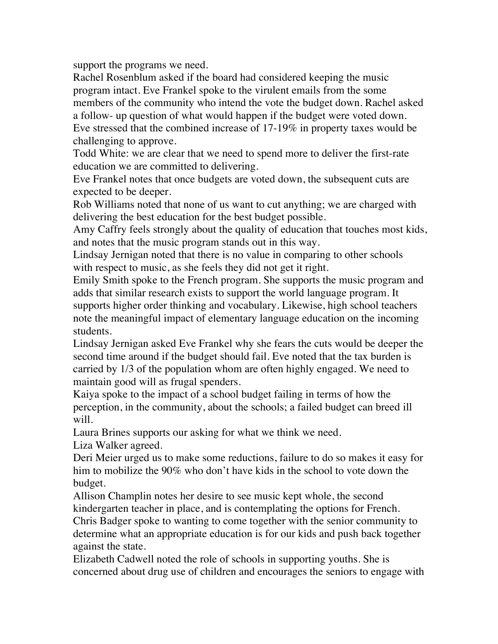support the programs we need.

Rachel Rosenblum asked if the board had considered keeping the music program intact. Eve Frankel spoke to the virulent emails from the some members of the community who intend the vote the budget down. Rachel asked a follow- up question of what would happen if the budget were voted down. Eve stressed that the combined increase of 17-19% in property taxes would be challenging to approve.

Todd White: we are clear that we need to spend more to deliver the first-rate education we are committed to delivering.

Eve Frankel notes that once budgets are voted down, the subsequent cuts are expected to be deeper.

Rob Williams noted that none of us want to cut anything; we are charged with delivering the best education for the best budget possible.

Amy Caffry feels strongly about the quality of education that touches most kids, and notes that the music program stands out in this way.

Lindsay Jernigan noted that there is no value in comparing to other schools with respect to music, as she feels they did not get it right.

Emily Smith spoke to the French program. She supports the music program and adds that similar research exists to support the world language program. It supports higher order thinking and vocabulary. Likewise, high school teachers note the meaningful impact of elementary language education on the incoming students.

Lindsay Jernigan asked Eve Frankel why she fears the cuts would be deeper the second time around if the budget should fail. Eve noted that the tax burden is carried by 1/3 of the population whom are often highly engaged. We need to maintain good will as frugal spenders.

Kaiya spoke to the impact of a school budget failing in terms of how the perception, in the community, about the schools; a failed budget can breed ill will.

Laura Brines supports our asking for what we think we need.

Liza Walker agreed.

Deri Meier urged us to make some reductions, failure to do so makes it easy for him to mobilize the 90% who don't have kids in the school to vote down the budget.

Allison Champlin notes her desire to see music kept whole, the second kindergarten teacher in place, and is contemplating the options for French. Chris Badger spoke to wanting to come together with the senior community to

determine what an appropriate education is for our kids and push back together against the state.

Elizabeth Cadwell noted the role of schools in supporting youths. She is concerned about drug use of children and encourages the seniors to engage with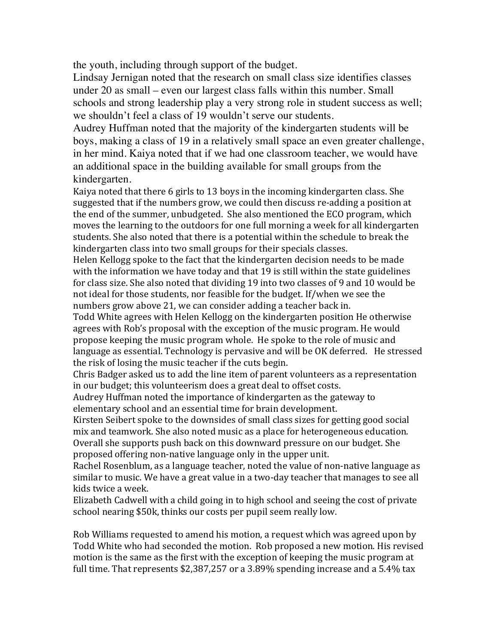the youth, including through support of the budget.

Lindsay Jernigan noted that the research on small class size identifies classes under 20 as small – even our largest class falls within this number. Small schools and strong leadership play a very strong role in student success as well; we shouldn't feel a class of 19 wouldn't serve our students.

Audrey Huffman noted that the majority of the kindergarten students will be boys, making a class of 19 in a relatively small space an even greater challenge, in her mind. Kaiya noted that if we had one classroom teacher, we would have an additional space in the building available for small groups from the kindergarten.

Kaiya noted that there 6 girls to 13 boys in the incoming kindergarten class. She suggested that if the numbers grow, we could then discuss re-adding a position at the end of the summer, unbudgeted. She also mentioned the ECO program, which moves the learning to the outdoors for one full morning a week for all kindergarten students. She also noted that there is a potential within the schedule to break the kindergarten class into two small groups for their specials classes.

Helen Kellogg spoke to the fact that the kindergarten decision needs to be made with the information we have today and that  $19$  is still within the state guidelines for class size. She also noted that dividing 19 into two classes of 9 and 10 would be not ideal for those students, nor feasible for the budget. If/when we see the numbers grow above 21, we can consider adding a teacher back in.

Todd White agrees with Helen Kellogg on the kindergarten position He otherwise agrees with Rob's proposal with the exception of the music program. He would propose keeping the music program whole. He spoke to the role of music and language as essential. Technology is pervasive and will be OK deferred. He stressed the risk of losing the music teacher if the cuts begin.

Chris Badger asked us to add the line item of parent volunteers as a representation in our budget; this volunteerism does a great deal to offset costs.

Audrey Huffman noted the importance of kindergarten as the gateway to elementary school and an essential time for brain development.

Kirsten Seibert spoke to the downsides of small class sizes for getting good social mix and teamwork. She also noted music as a place for heterogeneous education. Overall she supports push back on this downward pressure on our budget. She proposed offering non-native language only in the upper unit.

Rachel Rosenblum, as a language teacher, noted the value of non-native language as similar to music. We have a great value in a two-day teacher that manages to see all kids twice a week.

Elizabeth Cadwell with a child going in to high school and seeing the cost of private school nearing \$50k, thinks our costs per pupil seem really low.

Rob Williams requested to amend his motion, a request which was agreed upon by Todd White who had seconded the motion. Rob proposed a new motion. His revised motion is the same as the first with the exception of keeping the music program at full time. That represents  $$2,387,257$  or a 3.89% spending increase and a 5.4% tax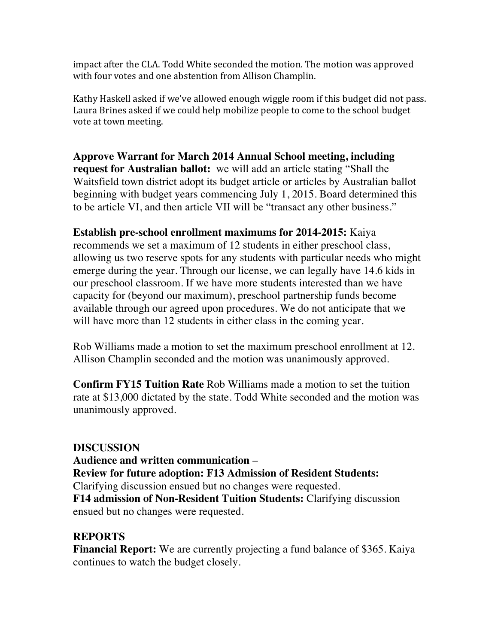impact after the CLA. Todd White seconded the motion. The motion was approved with four votes and one abstention from Allison Champlin.

Kathy Haskell asked if we've allowed enough wiggle room if this budget did not pass. Laura Brines asked if we could help mobilize people to come to the school budget vote at town meeting.

**Approve Warrant for March 2014 Annual School meeting, including request for Australian ballot:** we will add an article stating "Shall the Waitsfield town district adopt its budget article or articles by Australian ballot beginning with budget years commencing July 1, 2015. Board determined this to be article VI, and then article VII will be "transact any other business."

**Establish pre-school enrollment maximums for 2014-2015:** Kaiya recommends we set a maximum of 12 students in either preschool class, allowing us two reserve spots for any students with particular needs who might emerge during the year. Through our license, we can legally have 14.6 kids in our preschool classroom. If we have more students interested than we have capacity for (beyond our maximum), preschool partnership funds become available through our agreed upon procedures. We do not anticipate that we will have more than 12 students in either class in the coming year.

Rob Williams made a motion to set the maximum preschool enrollment at 12. Allison Champlin seconded and the motion was unanimously approved.

**Confirm FY15 Tuition Rate** Rob Williams made a motion to set the tuition rate at \$13,000 dictated by the state. Todd White seconded and the motion was unanimously approved.

### **DISCUSSION**

**Audience and written communication** – **Review for future adoption: F13 Admission of Resident Students:**  Clarifying discussion ensued but no changes were requested. **F14 admission of Non-Resident Tuition Students:** Clarifying discussion ensued but no changes were requested.

# **REPORTS**

**Financial Report:** We are currently projecting a fund balance of \$365. Kaiya continues to watch the budget closely.